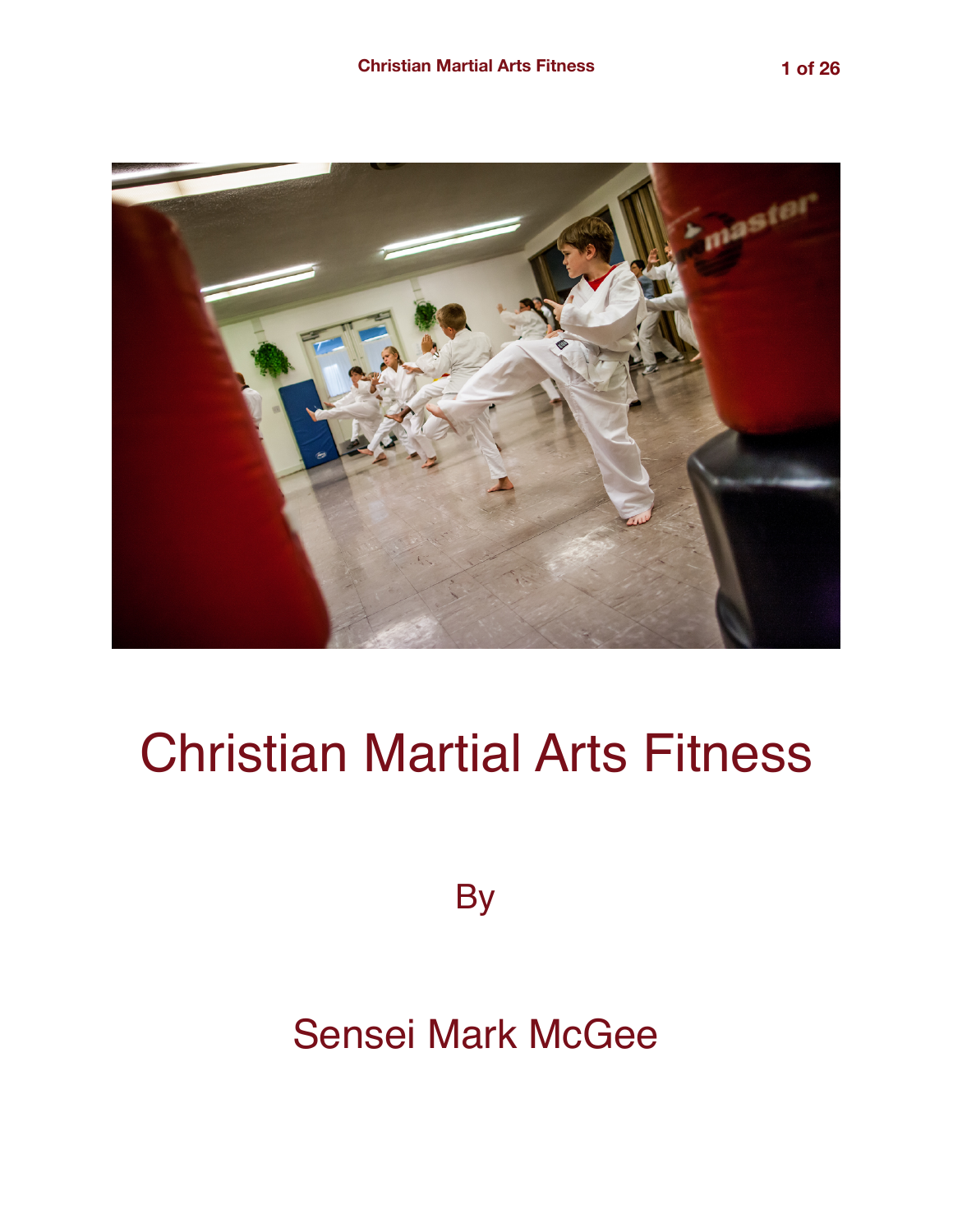

# Christian Martial Arts Fitness

**By** 

# Sensei Mark McGee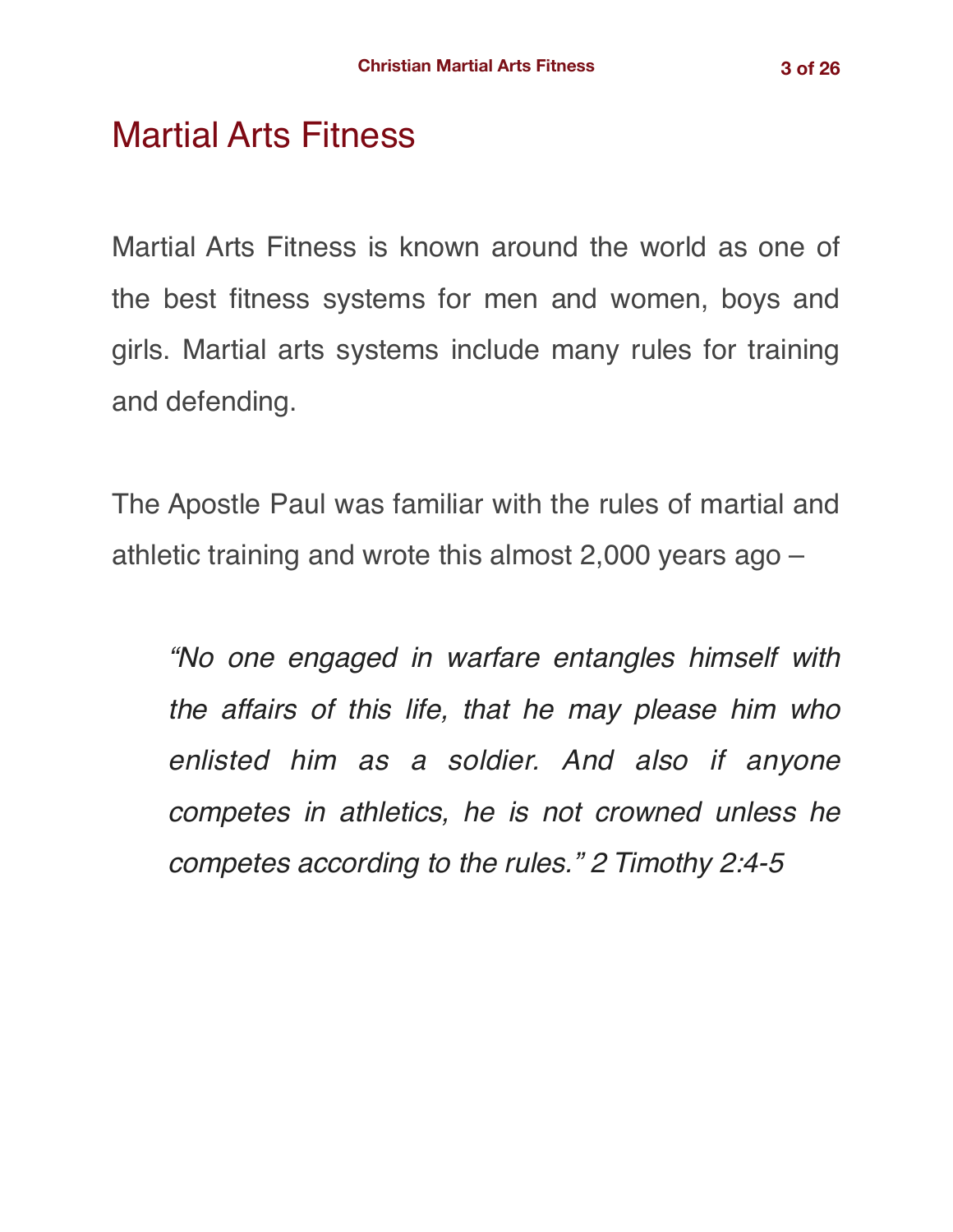# Martial Arts Fitness

Martial Arts Fitness is known around the world as one of the best fitness systems for men and women, boys and girls. Martial arts systems include many rules for training and defending.

The Apostle Paul was familiar with the rules of martial and athletic training and wrote this almost 2,000 years ago –

*"No one engaged in warfare entangles himself with the affairs of this life, that he may please him who enlisted him as a soldier. And also if anyone competes in athletics, he is not crowned unless he competes according to the rules." 2 Timothy 2:4-5*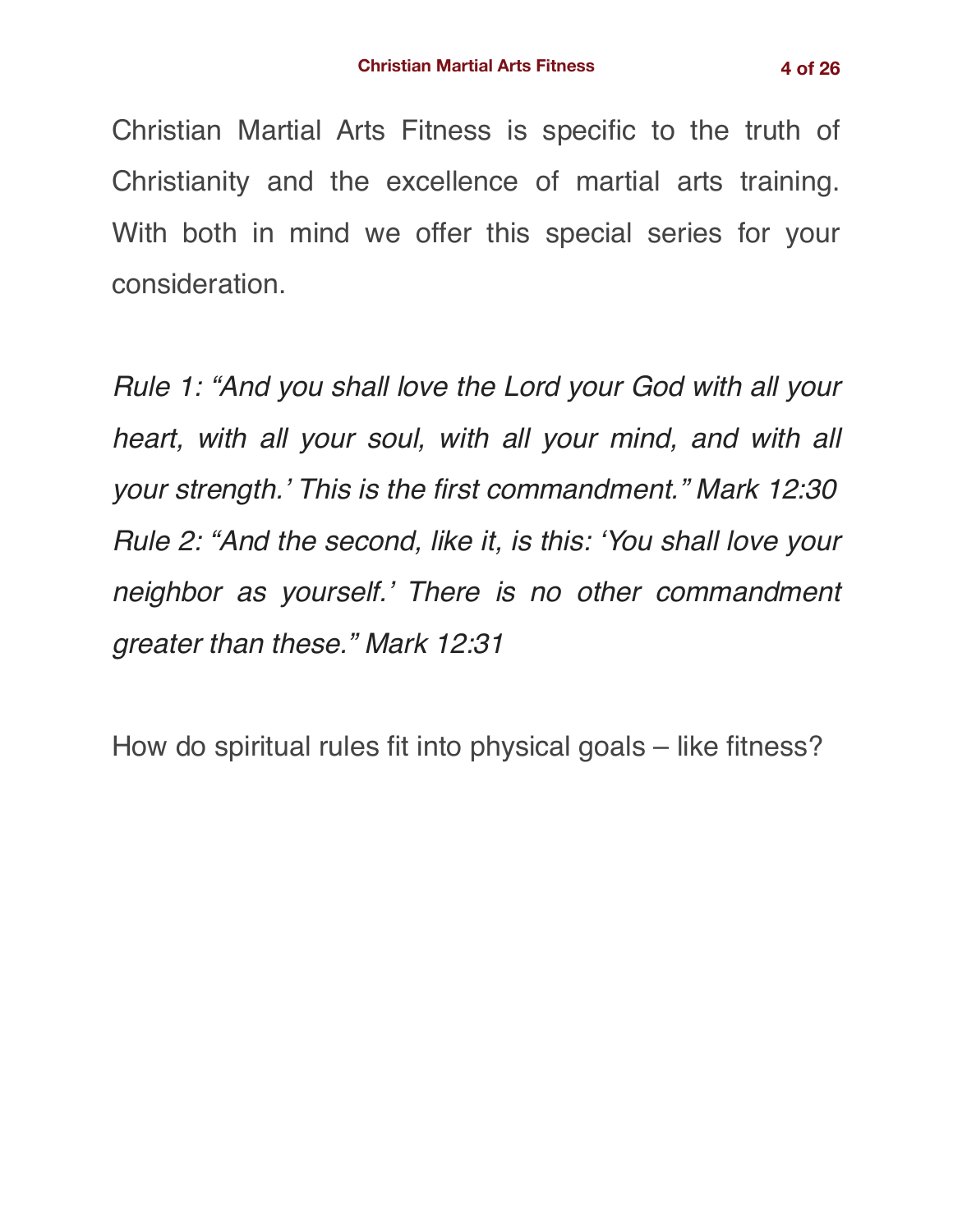Christian Martial Arts Fitness is specific to the truth of Christianity and the excellence of martial arts training. With both in mind we offer this special series for your consideration.

*Rule 1: "And you shall love the Lord your God with all your heart, with all your soul, with all your mind, and with all your strength.' This is the first commandment." Mark 12:30 Rule 2: "And the second, like it, is this: 'You shall love your neighbor as yourself.' There is no other commandment greater than these." Mark 12:31*

How do spiritual rules fit into physical goals – like fitness?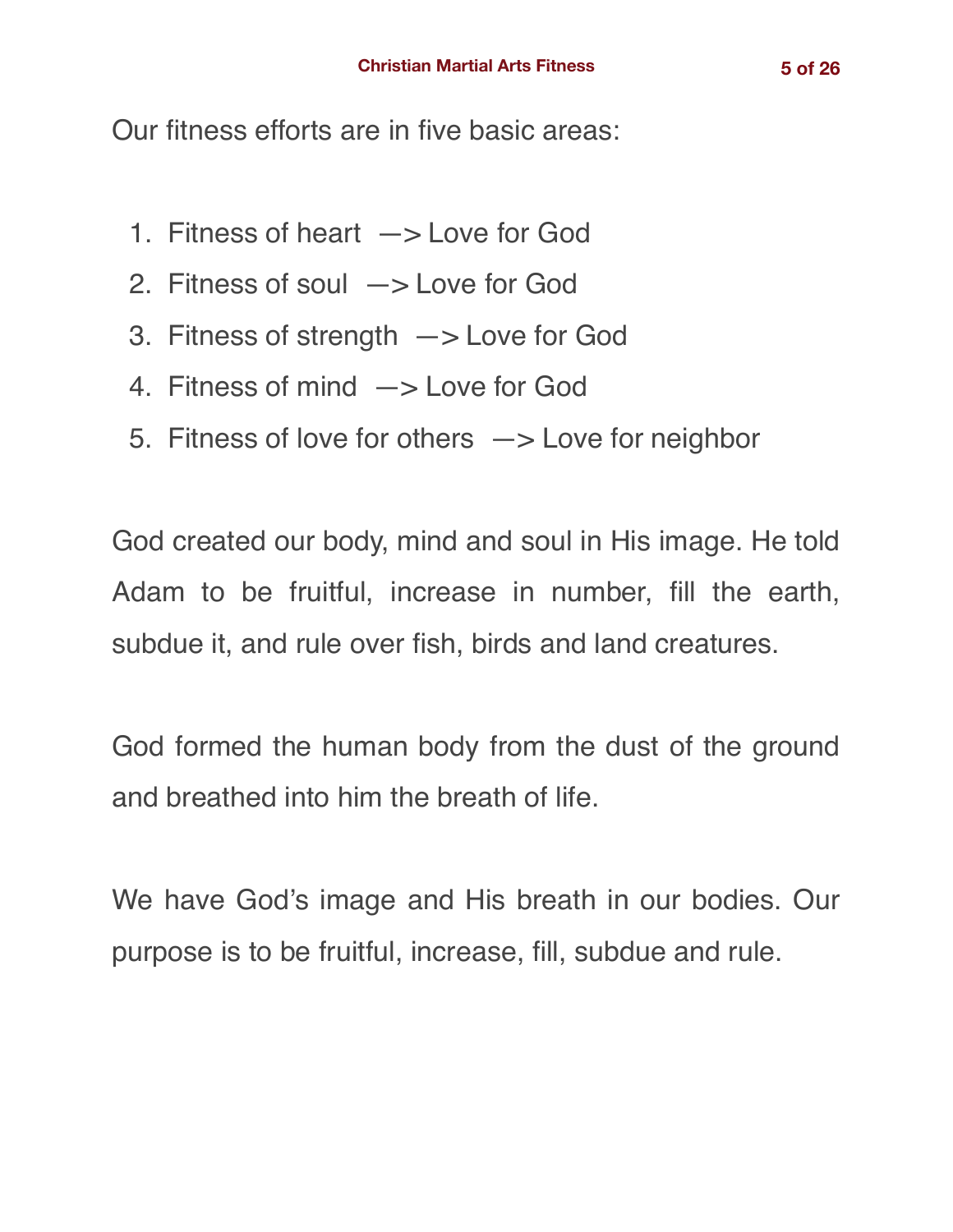Our fitness efforts are in five basic areas:

- 1. Fitness of heart —> Love for God
- 2. Fitness of soul —> Love for God
- 3. Fitness of strength —> Love for God
- 4. Fitness of mind —> Love for God
- 5. Fitness of love for others —> Love for neighbor

God created our body, mind and soul in His image. He told Adam to be fruitful, increase in number, fill the earth, subdue it, and rule over fish, birds and land creatures.

God formed the human body from the dust of the ground and breathed into him the breath of life.

We have God's image and His breath in our bodies. Our purpose is to be fruitful, increase, fill, subdue and rule.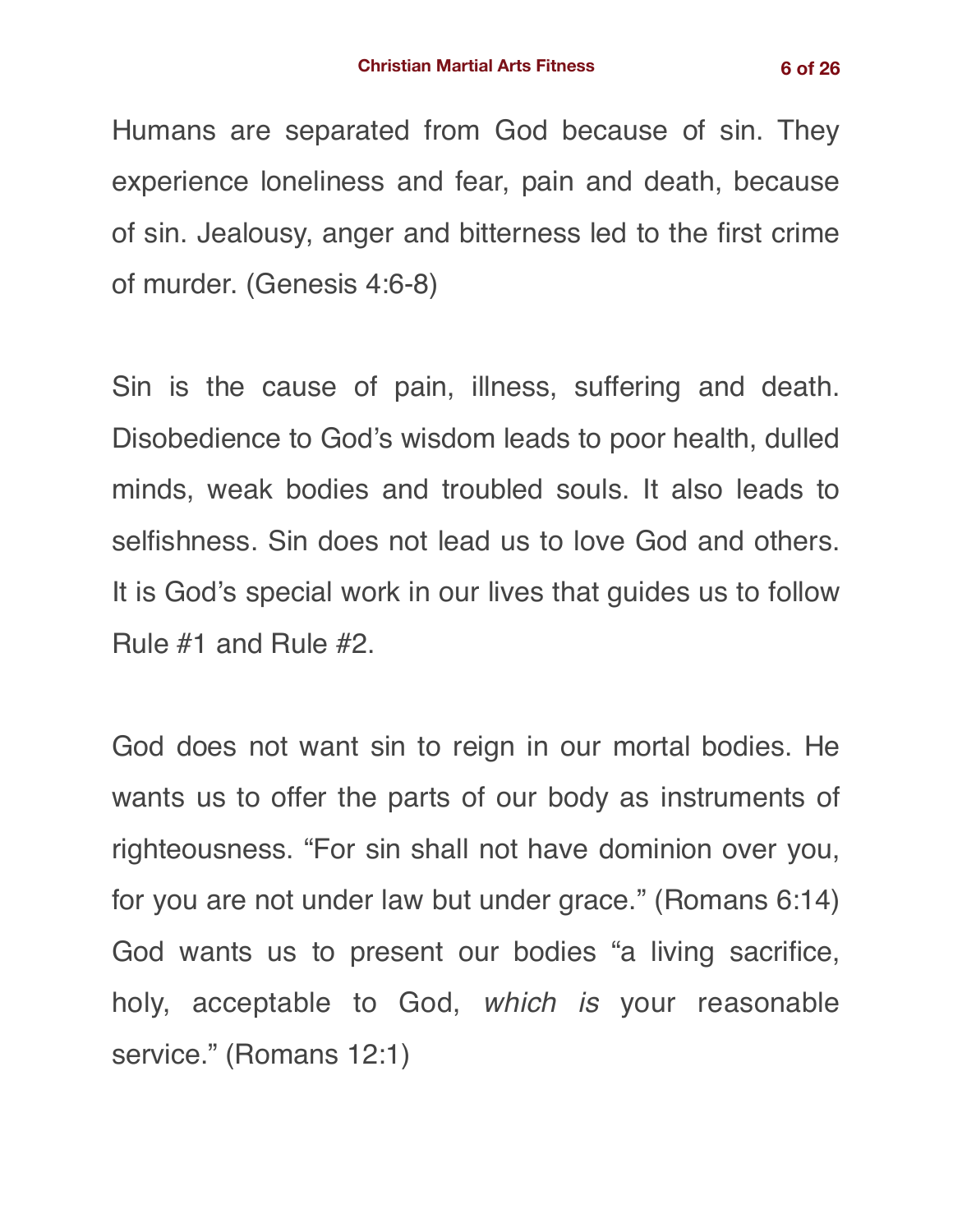Humans are separated from God because of sin. They experience loneliness and fear, pain and death, because of sin. Jealousy, anger and bitterness led to the first crime of murder. (Genesis 4:6-8)

Sin is the cause of pain, illness, suffering and death. Disobedience to God's wisdom leads to poor health, dulled minds, weak bodies and troubled souls. It also leads to selfishness. Sin does not lead us to love God and others. It is God's special work in our lives that guides us to follow Rule #1 and Rule #2.

God does not want sin to reign in our mortal bodies. He wants us to offer the parts of our body as instruments of righteousness. "For sin shall not have dominion over you, for you are not under law but under grace." (Romans 6:14) God wants us to present our bodies "a living sacrifice, holy, acceptable to God, *which is* your reasonable service." (Romans 12:1)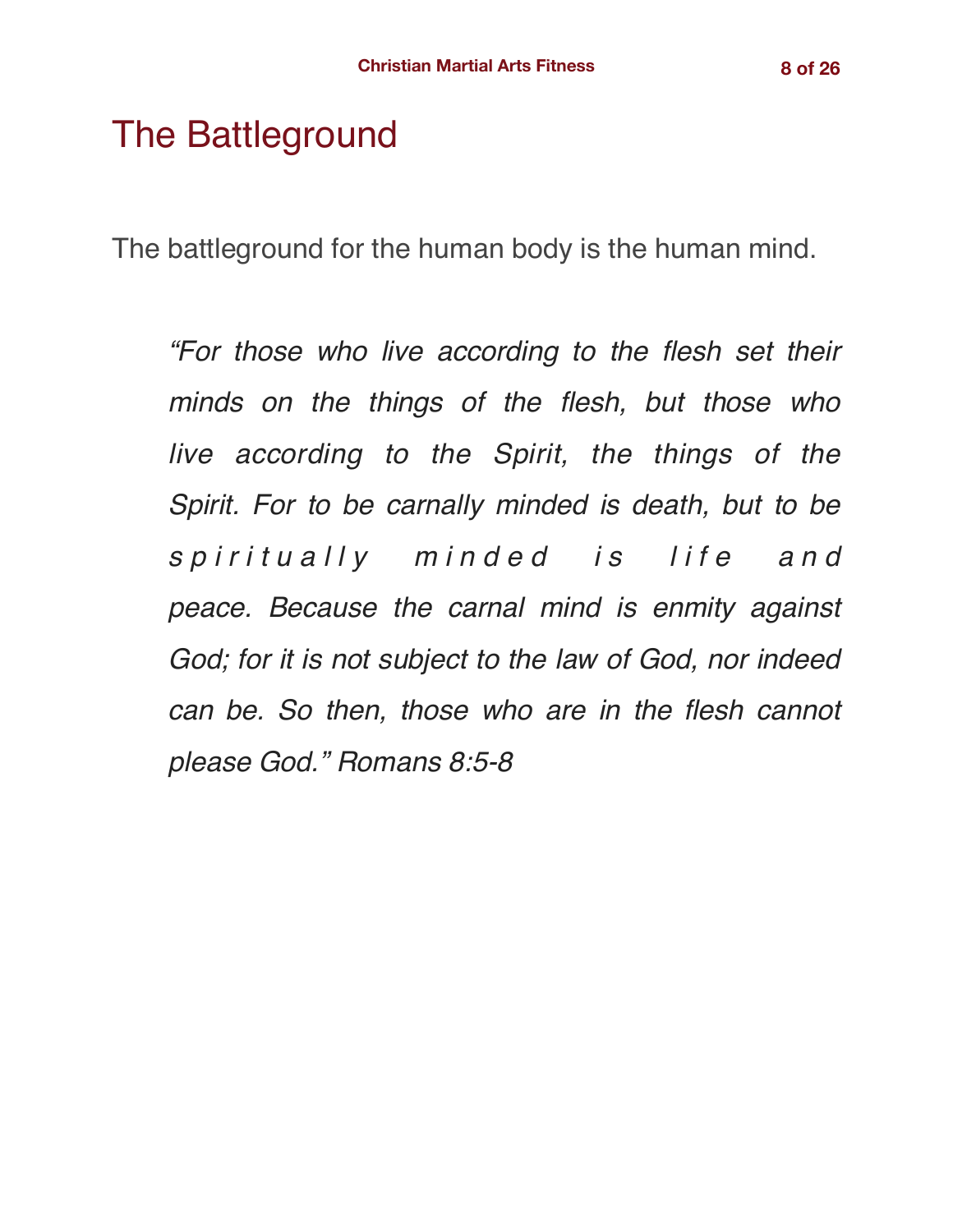# The Battleground

The battleground for the human body is the human mind.

*"For those who live according to the flesh set their minds on the things of the flesh, but those who live according to the Spirit, the things of the Spirit. For to be carnally minded is death, but to be s p i r i t u a l l y m i n d e d i s l i f e a n d peace. Because the carnal mind is enmity against God; for it is not subject to the law of God, nor indeed can be. So then, those who are in the flesh cannot please God." Romans 8:5-8*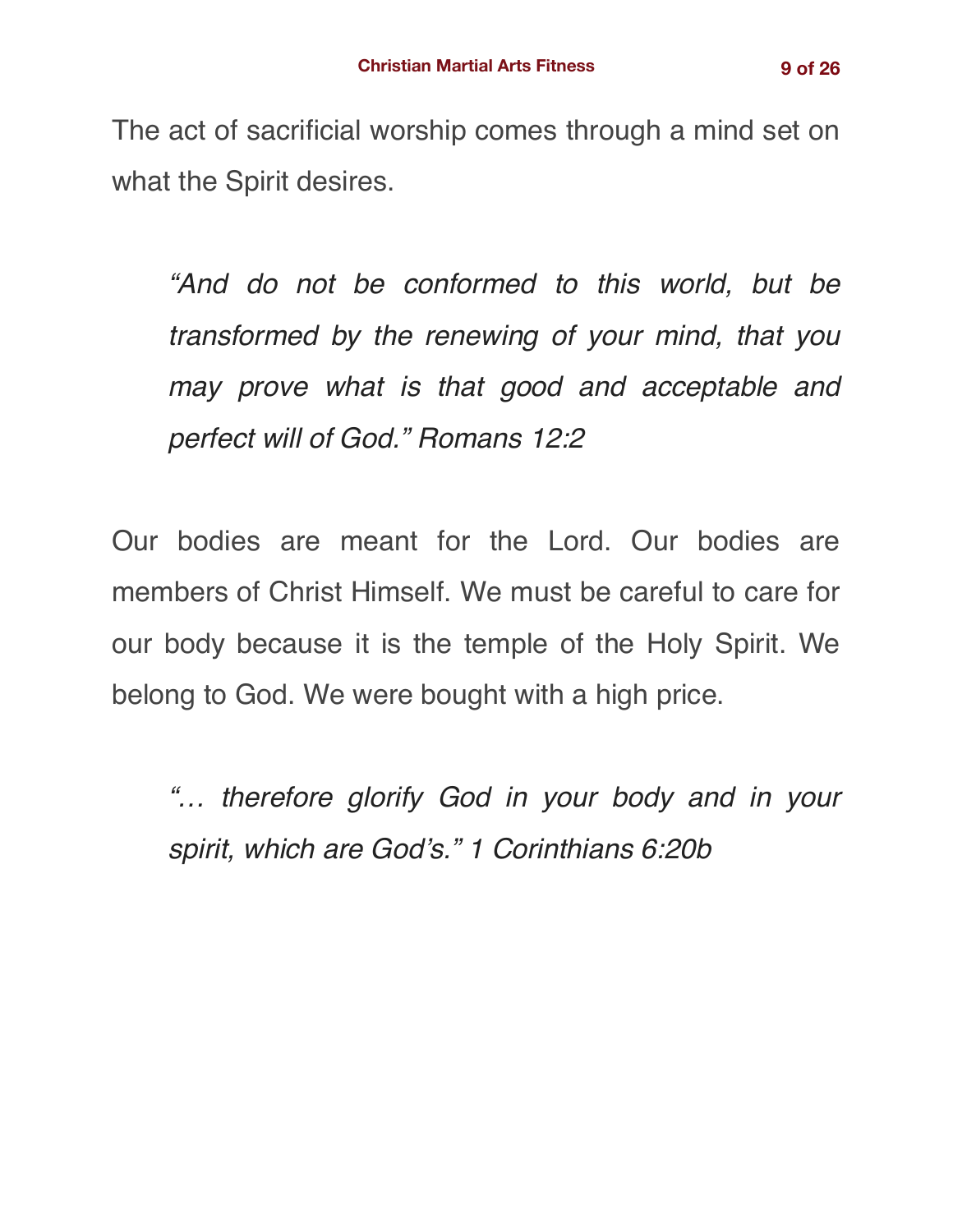The act of sacrificial worship comes through a mind set on what the Spirit desires.

*"And do not be conformed to this world, but be transformed by the renewing of your mind, that you may prove what is that good and acceptable and perfect will of God." Romans 12:2*

Our bodies are meant for the Lord. Our bodies are members of Christ Himself. We must be careful to care for our body because it is the temple of the Holy Spirit. We belong to God. We were bought with a high price.

*"… therefore glorify God in your body and in your spirit, which are God's." 1 Corinthians 6:20b*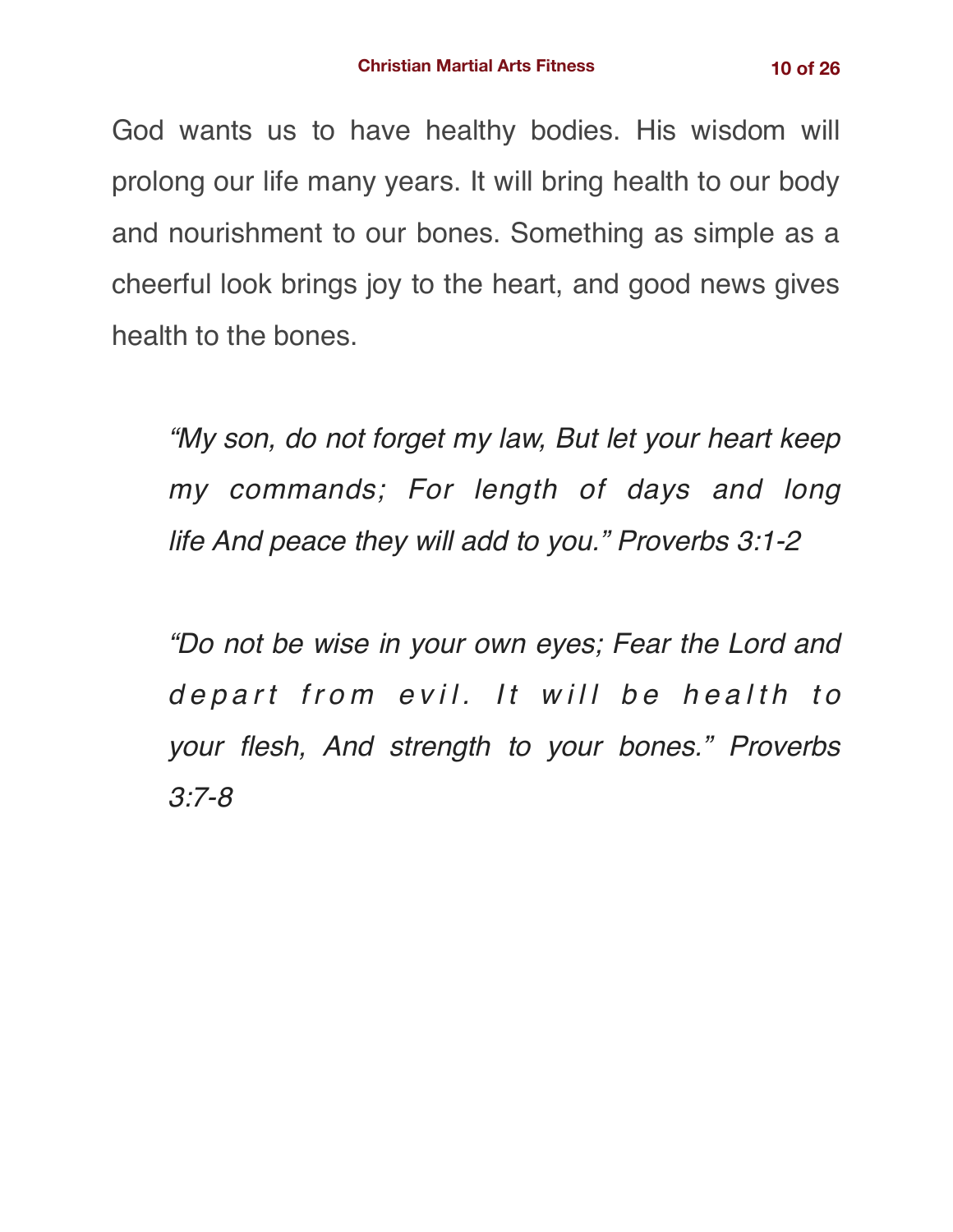God wants us to have healthy bodies. His wisdom will prolong our life many years. It will bring health to our body and nourishment to our bones. Something as simple as a cheerful look brings joy to the heart, and good news gives health to the bones.

*"My son, do not forget my law, But let your heart keep my commands; For length of days and long life And peace they will add to you." Proverbs 3:1-2*

*"Do not be wise in your own eyes; Fear the Lord and depart from evil. It will be health to your flesh, And strength to your bones." Proverbs 3:7-8*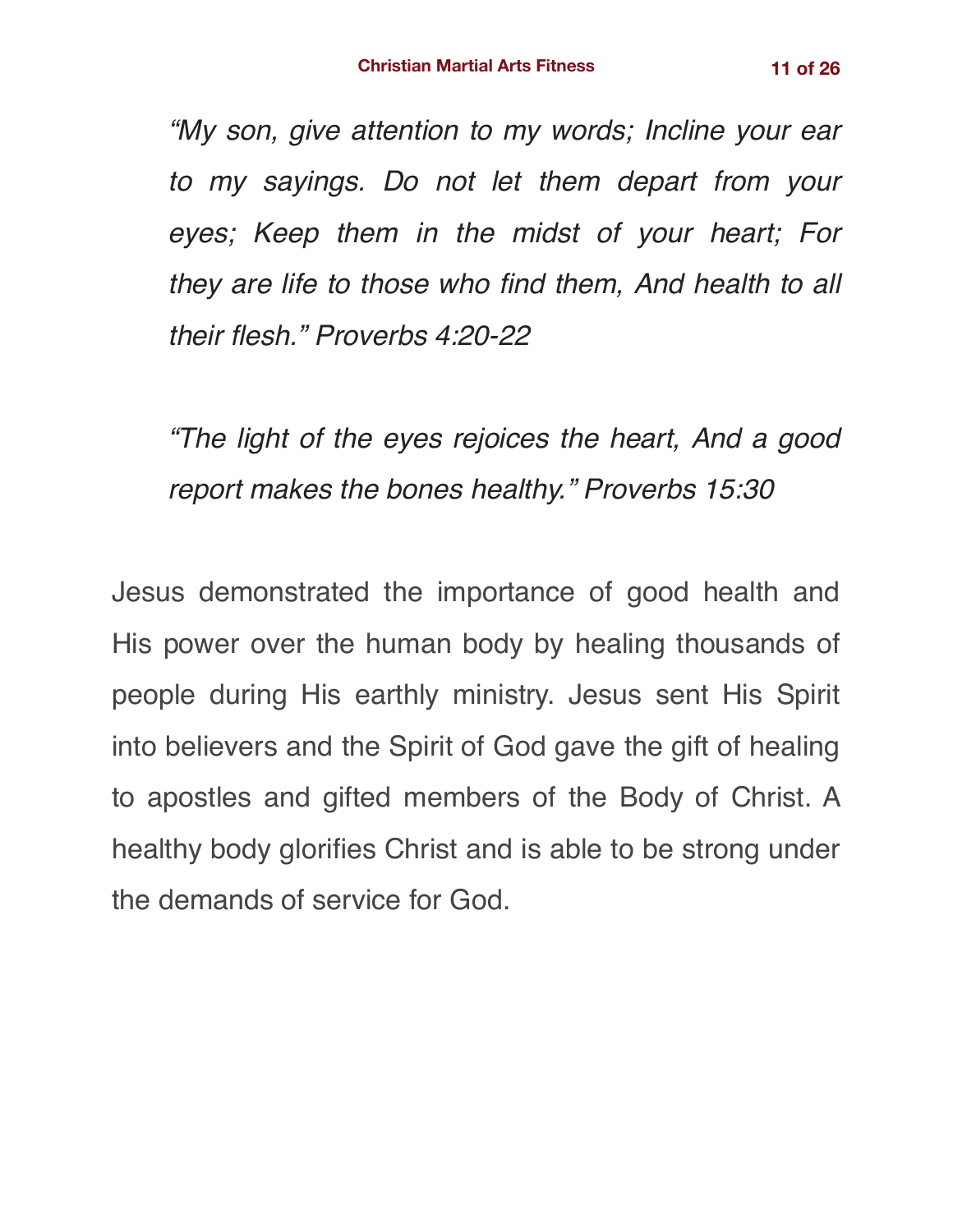*"My son, give attention to my words; Incline your ear to my sayings. Do not let them depart from your eyes; Keep them in the midst of your heart; For they are life to those who find them, And health to all their flesh." Proverbs 4:20-22*

*"The light of the eyes rejoices the heart, And a good report makes the bones healthy." Proverbs 15:30*

Jesus demonstrated the importance of good health and His power over the human body by healing thousands of people during His earthly ministry. Jesus sent His Spirit into believers and the Spirit of God gave the gift of healing to apostles and gifted members of the Body of Christ. A healthy body glorifies Christ and is able to be strong under the demands of service for God.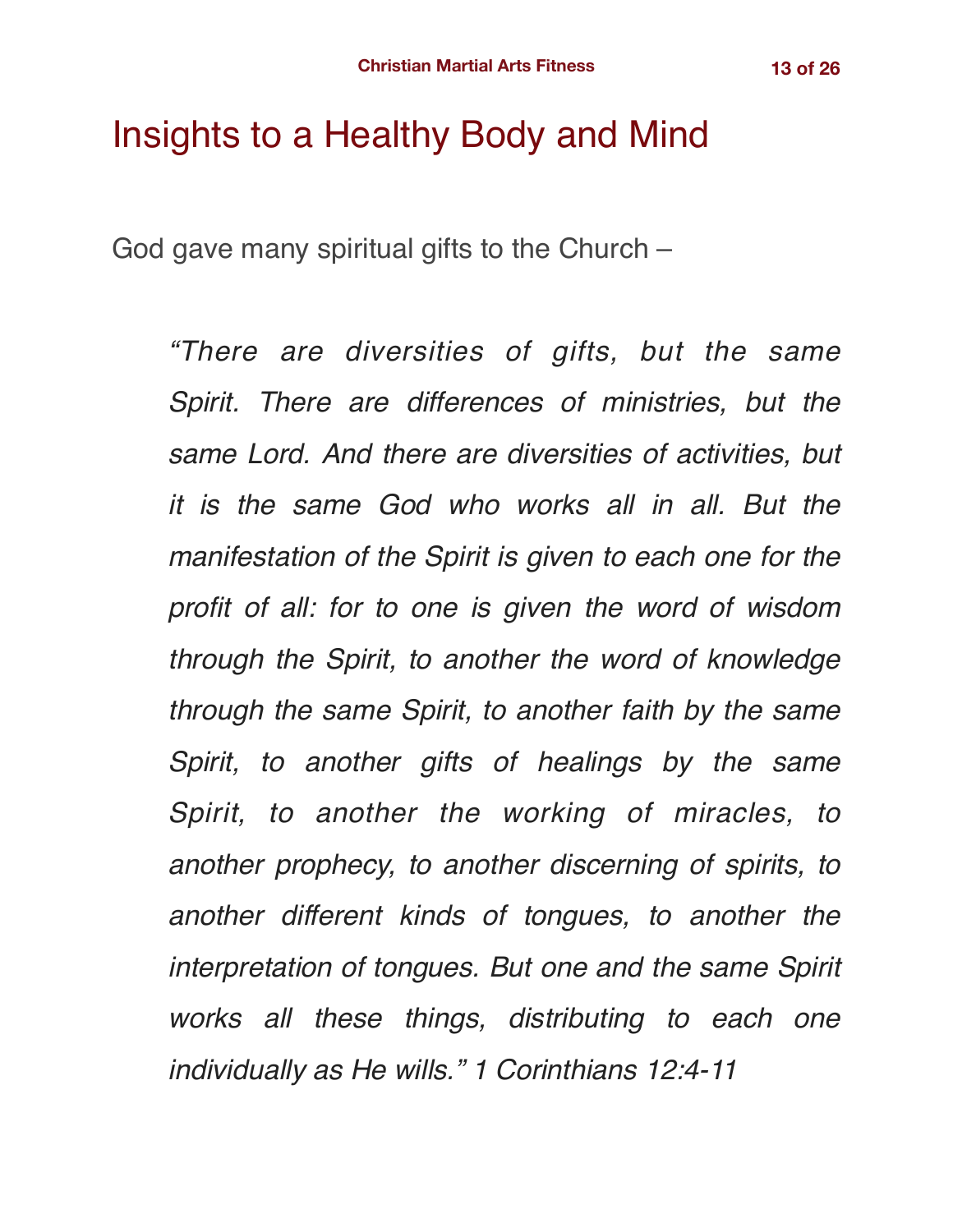# Insights to a Healthy Body and Mind

God gave many spiritual gifts to the Church –

*"There are diversities of gifts, but the same Spirit. There are differences of ministries, but the same Lord. And there are diversities of activities, but it is the same God who works all in all. But the manifestation of the Spirit is given to each one for the profit of all: for to one is given the word of wisdom through the Spirit, to another the word of knowledge through the same Spirit, to another faith by the same Spirit, to another gifts of healings by the same Spirit, to another the working of miracles, to another prophecy, to another discerning of spirits, to another different kinds of tongues, to another the interpretation of tongues. But one and the same Spirit works all these things, distributing to each one individually as He wills." 1 Corinthians 12:4-11*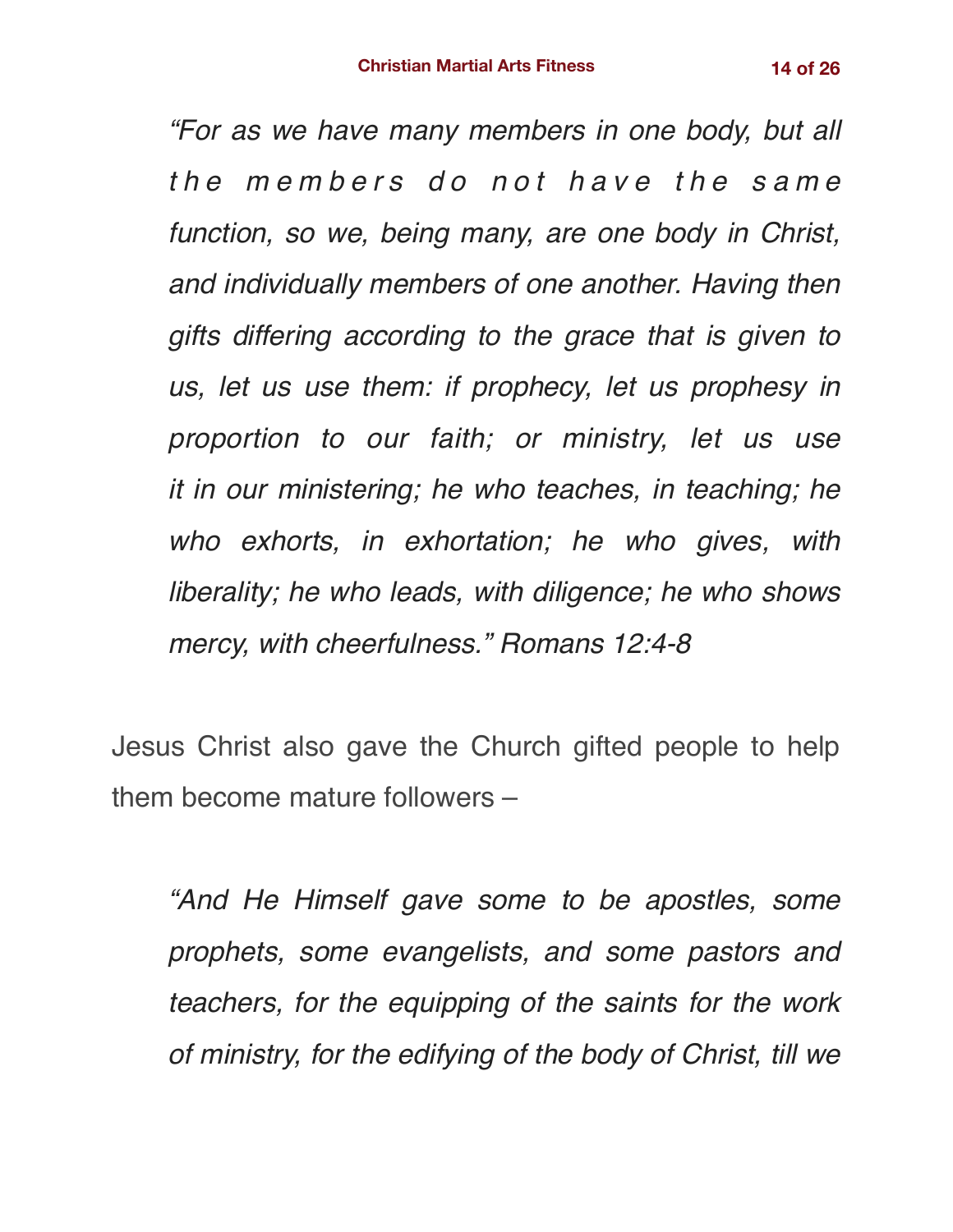*"For as we have many members in one body, but all the members do not have the same function, so we, being many, are one body in Christ, and individually members of one another. Having then gifts differing according to the grace that is given to us, let us use them: if prophecy, let us prophesy in proportion to our faith; or ministry, let us use it in our ministering; he who teaches, in teaching; he who exhorts, in exhortation; he who gives, with liberality; he who leads, with diligence; he who shows mercy, with cheerfulness." Romans 12:4-8*

Jesus Christ also gave the Church gifted people to help them become mature followers –

*"And He Himself gave some to be apostles, some prophets, some evangelists, and some pastors and teachers, for the equipping of the saints for the work of ministry, for the edifying of the body of Christ, till we*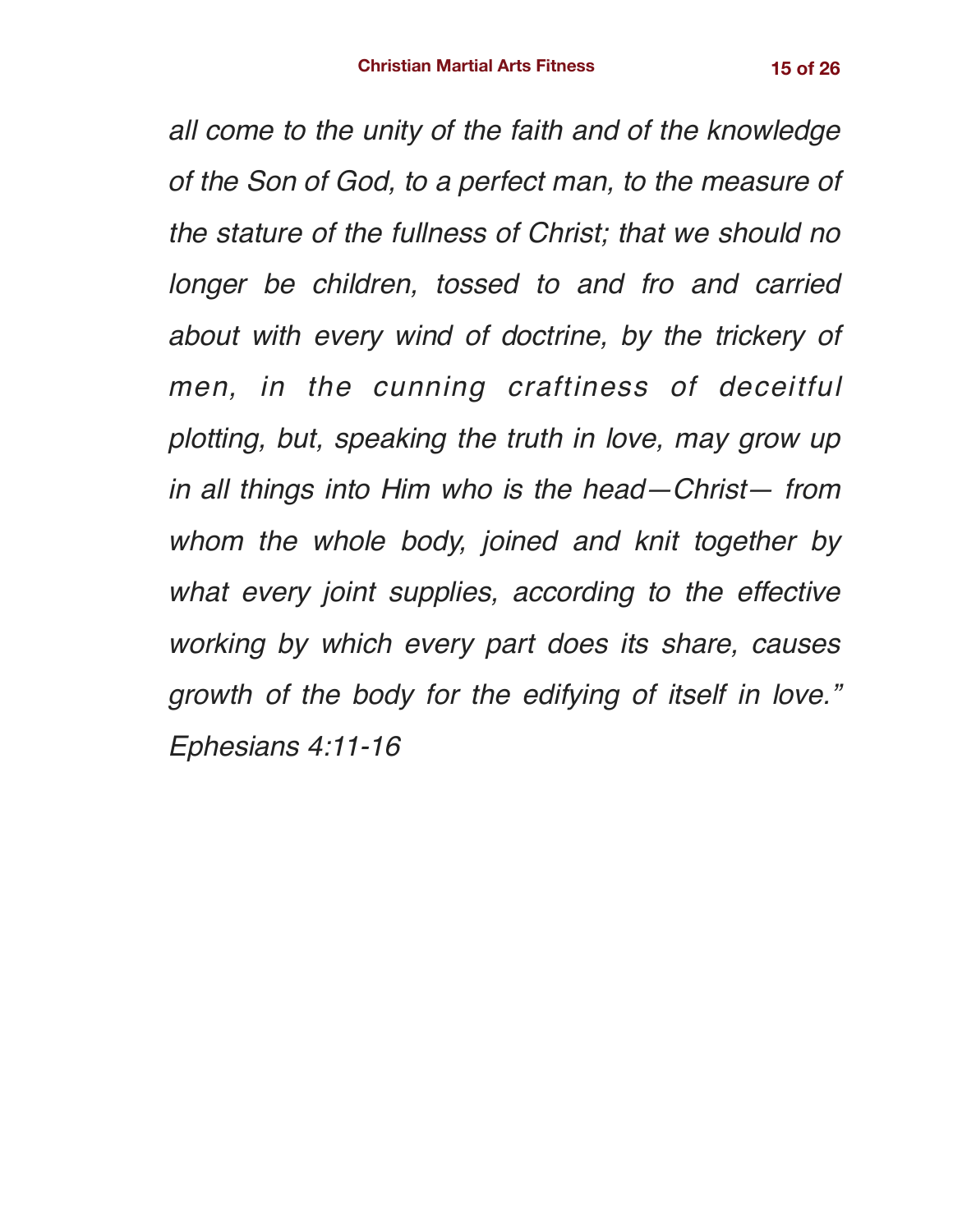*all come to the unity of the faith and of the knowledge of the Son of God, to a perfect man, to the measure of the stature of the fullness of Christ; that we should no longer be children, tossed to and fro and carried about with every wind of doctrine, by the trickery of men, in the cunning craftiness of deceitful plotting, but, speaking the truth in love, may grow up in all things into Him who is the head—Christ— from whom the whole body, joined and knit together by what every joint supplies, according to the effective working by which every part does its share, causes growth of the body for the edifying of itself in love." Ephesians 4:11-16*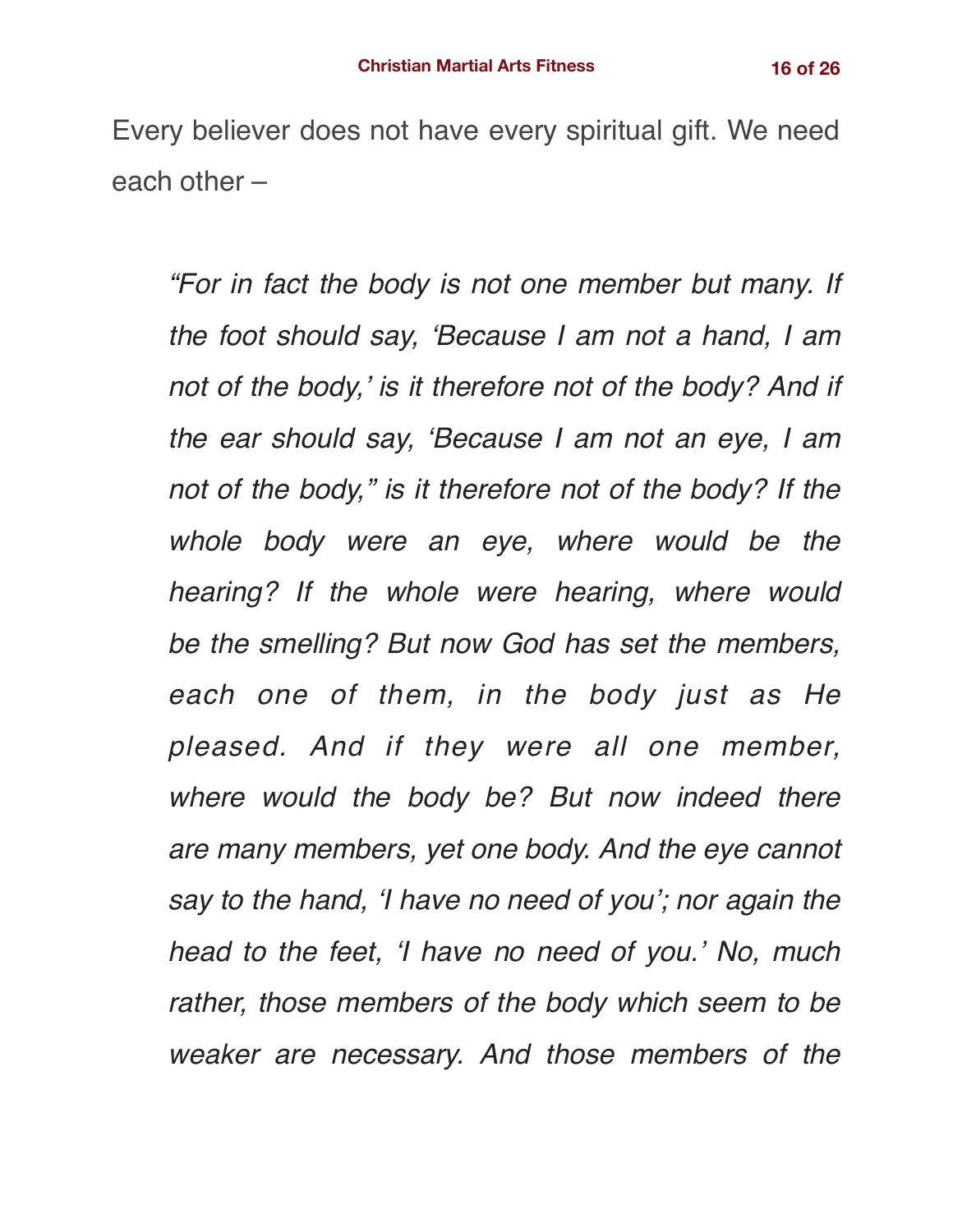Every believer does not have every spiritual gift. We need each other –

*"For in fact the body is not one member but many. If the foot should say, 'Because I am not a hand, I am not of the body,' is it therefore not of the body? And if the ear should say, 'Because I am not an eye, I am not of the body," is it therefore not of the body? If the whole body were an eye, where would be the hearing? If the whole were hearing, where would be the smelling? But now God has set the members, each one of them, in the body just as He pleased. And if they were all one member, where would the body be? But now indeed there are many members, yet one body. And the eye cannot say to the hand, 'I have no need of you'; nor again the head to the feet, 'I have no need of you.' No, much rather, those members of the body which seem to be weaker are necessary. And those members of the*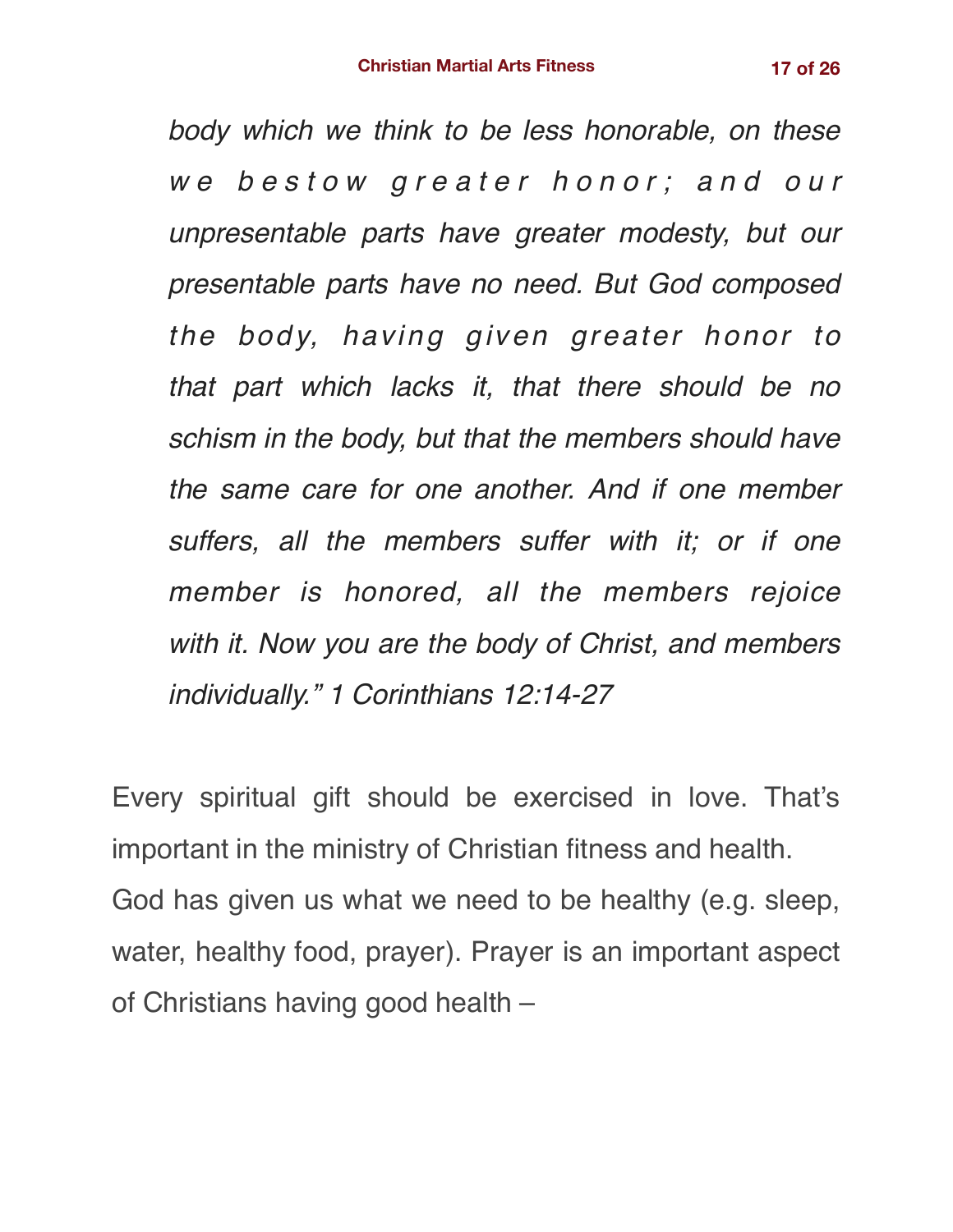*body which we think to be less honorable, on these we bestow greater honor; and our unpresentable parts have greater modesty, but our presentable parts have no need. But God composed the body, having given greater honor to that part which lacks it, that there should be no schism in the body, but that the members should have the same care for one another. And if one member suffers, all the members suffer with it; or if one member is honored, all the members rejoice with it. Now you are the body of Christ, and members individually." 1 Corinthians 12:14-27*

Every spiritual gift should be exercised in love. That's important in the ministry of Christian fitness and health. God has given us what we need to be healthy (e.g. sleep, water, healthy food, prayer). Prayer is an important aspect of Christians having good health –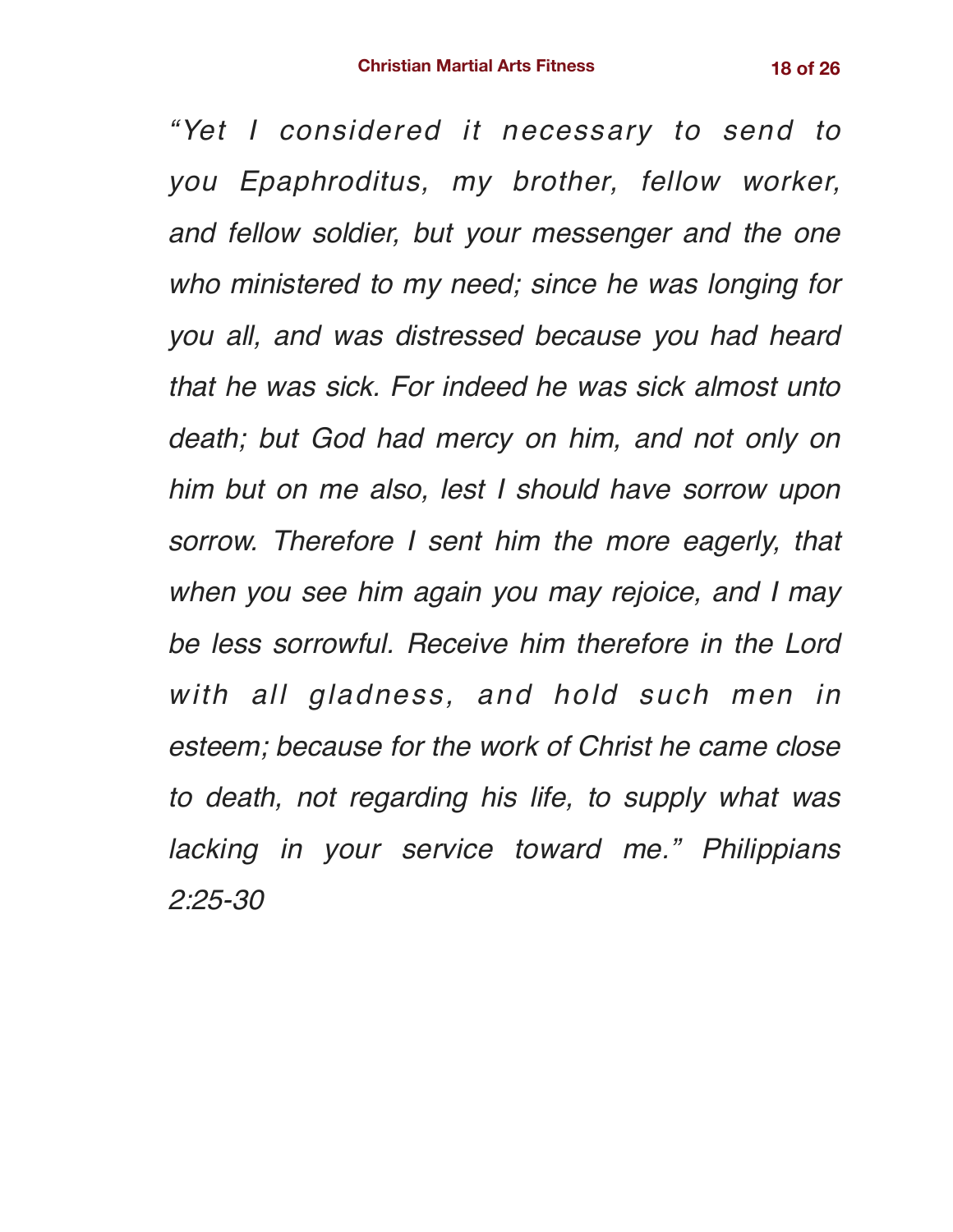*"Yet I considered it necessary to send to you Epaphroditus, my brother, fellow worker, and fellow soldier, but your messenger and the one who ministered to my need; since he was longing for you all, and was distressed because you had heard that he was sick. For indeed he was sick almost unto death; but God had mercy on him, and not only on him but on me also, lest I should have sorrow upon sorrow. Therefore I sent him the more eagerly, that when you see him again you may rejoice, and I may be less sorrowful. Receive him therefore in the Lord with all gladness, and hold such men in esteem; because for the work of Christ he came close to death, not regarding his life, to supply what was lacking in your service toward me." Philippians 2:25-30*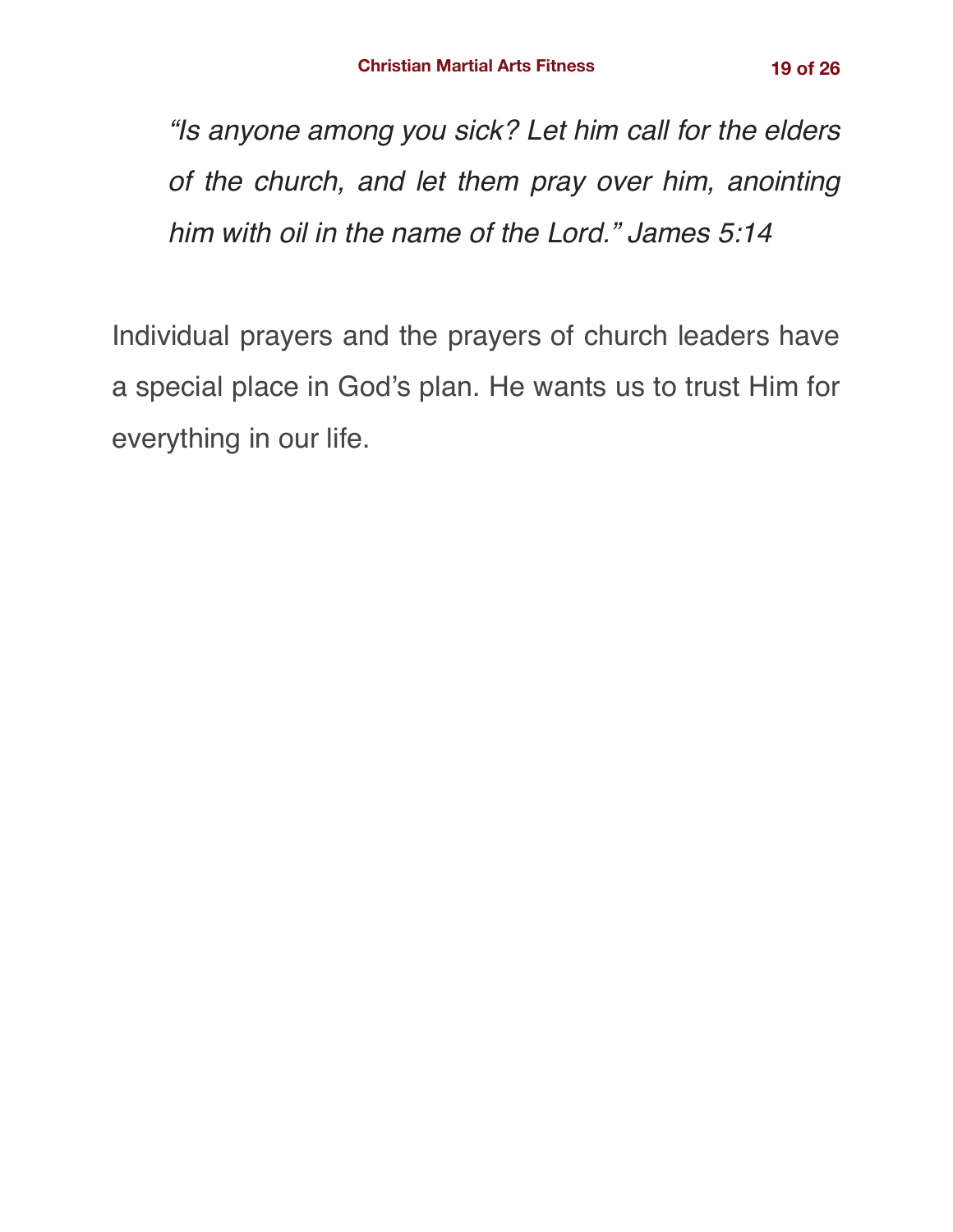*"Is anyone among you sick? Let him call for the elders of the church, and let them pray over him, anointing him with oil in the name of the Lord." James 5:14*

Individual prayers and the prayers of church leaders have a special place in God's plan. He wants us to trust Him for everything in our life.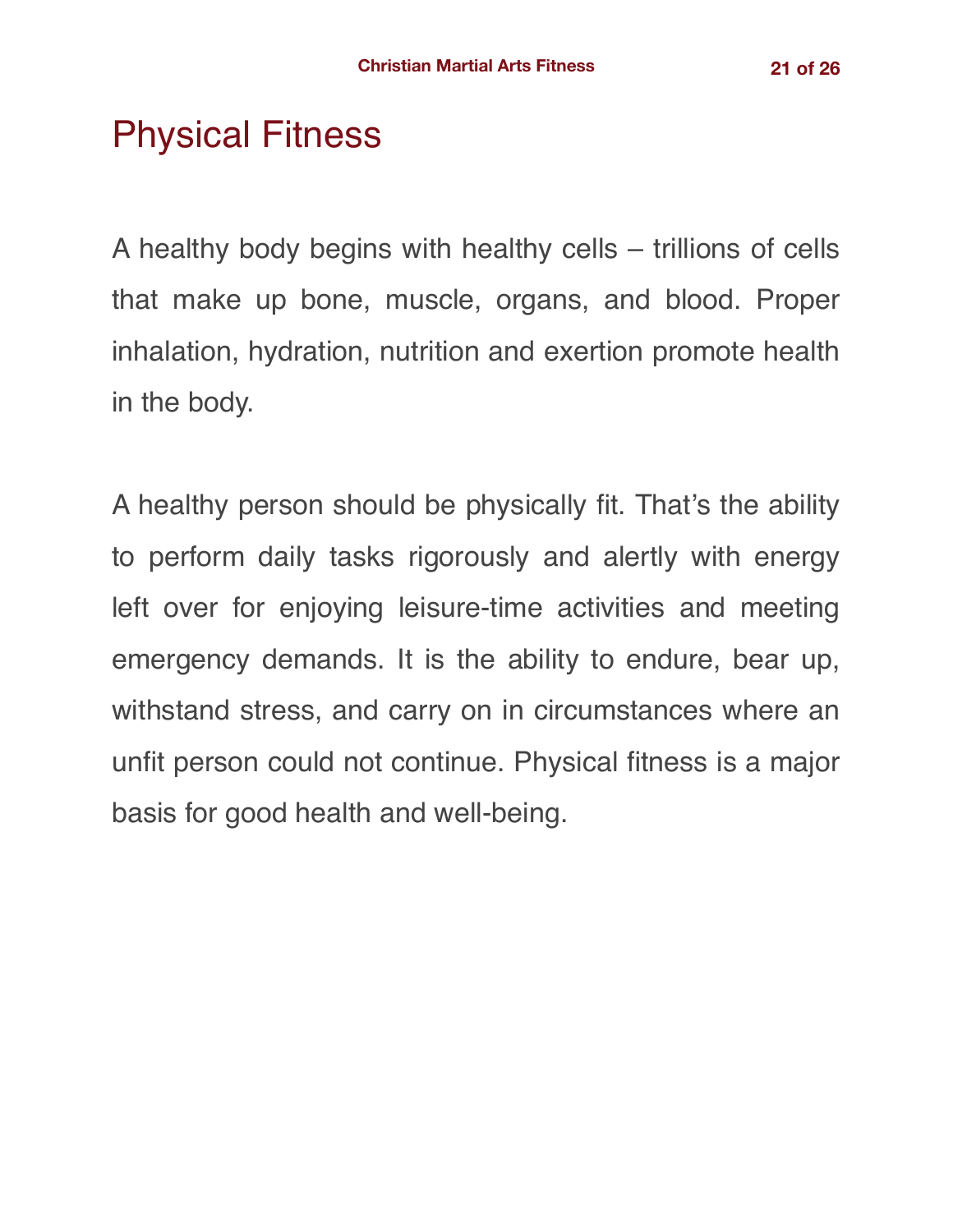# Physical Fitness

A healthy body begins with healthy cells – trillions of cells that make up bone, muscle, organs, and blood. Proper inhalation, hydration, nutrition and exertion promote health in the body.

A healthy person should be physically fit. That's the ability to perform daily tasks rigorously and alertly with energy left over for enjoying leisure-time activities and meeting emergency demands. It is the ability to endure, bear up, withstand stress, and carry on in circumstances where an unfit person could not continue. Physical fitness is a major basis for good health and well-being.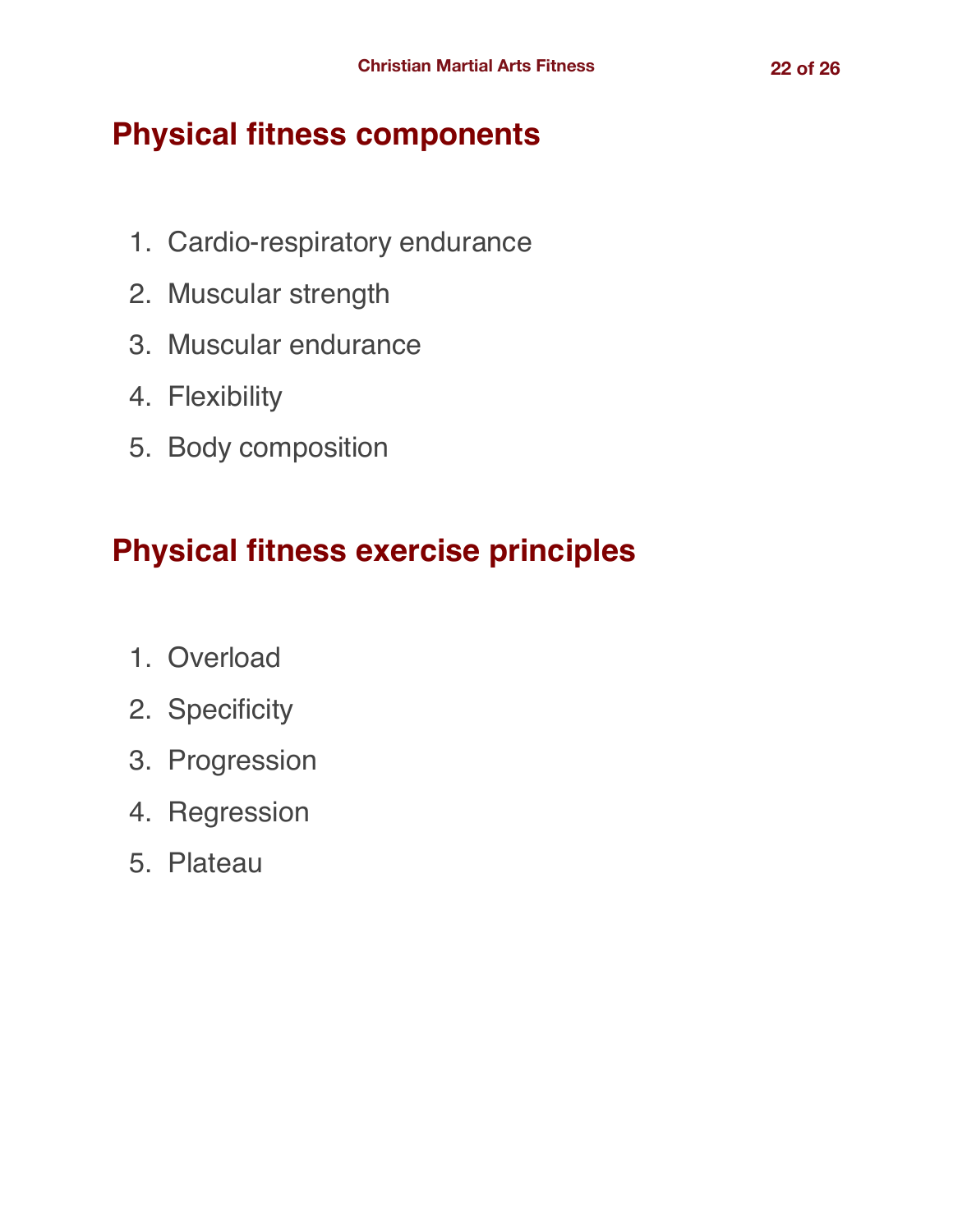#### **Physical fitness components**

- 1. Cardio-respiratory endurance
- 2. Muscular strength
- 3. Muscular endurance
- 4. Flexibility
- 5. Body composition

# **Physical fitness exercise principles**

- 1. Overload
- 2. Specificity
- 3. Progression
- 4. Regression
- 5. Plateau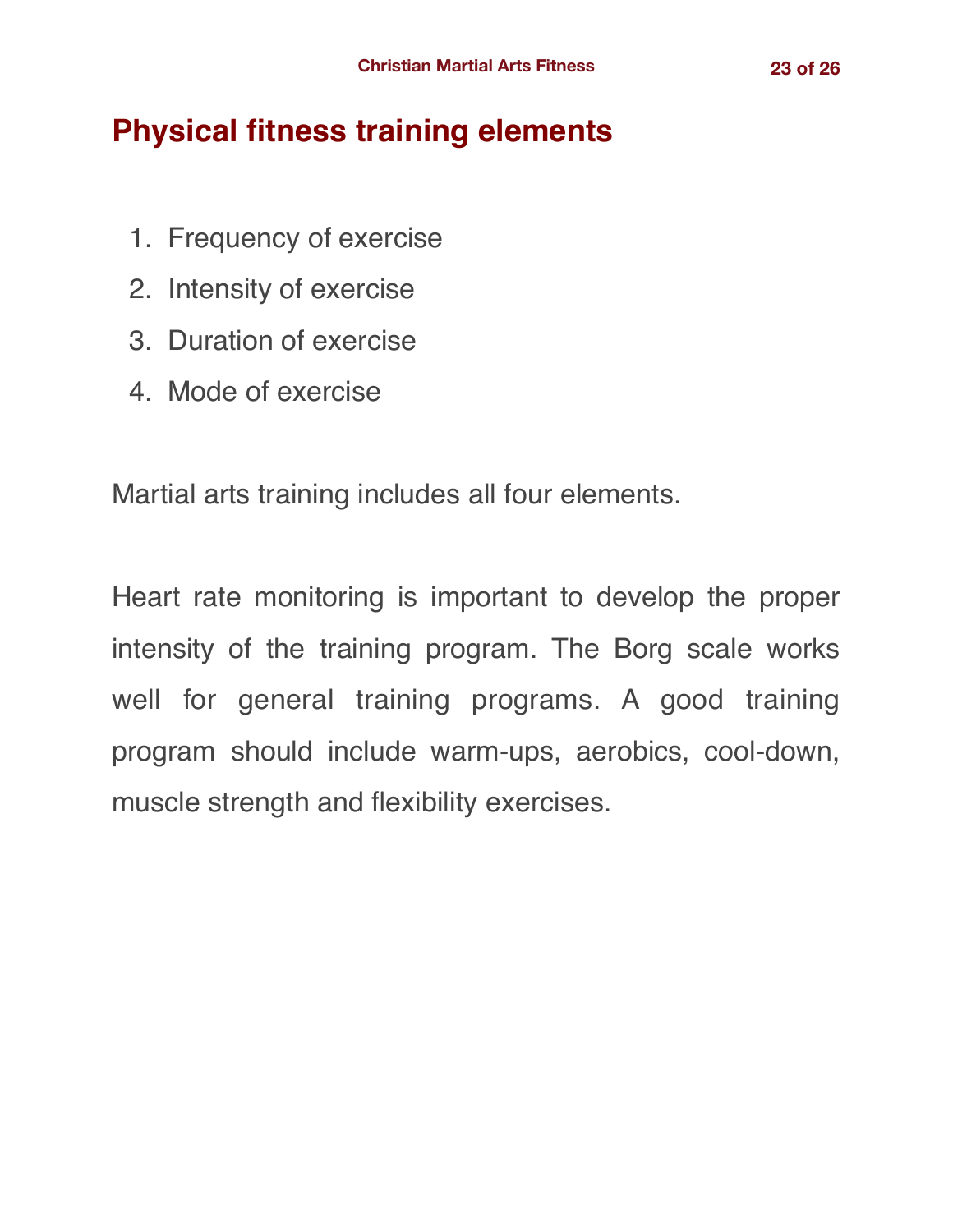## **Physical fitness training elements**

- 1. Frequency of exercise
- 2. Intensity of exercise
- 3. Duration of exercise
- 4. Mode of exercise

Martial arts training includes all four elements.

Heart rate monitoring is important to develop the proper intensity of the training program. The Borg scale works well for general training programs. A good training program should include warm-ups, aerobics, cool-down, muscle strength and flexibility exercises.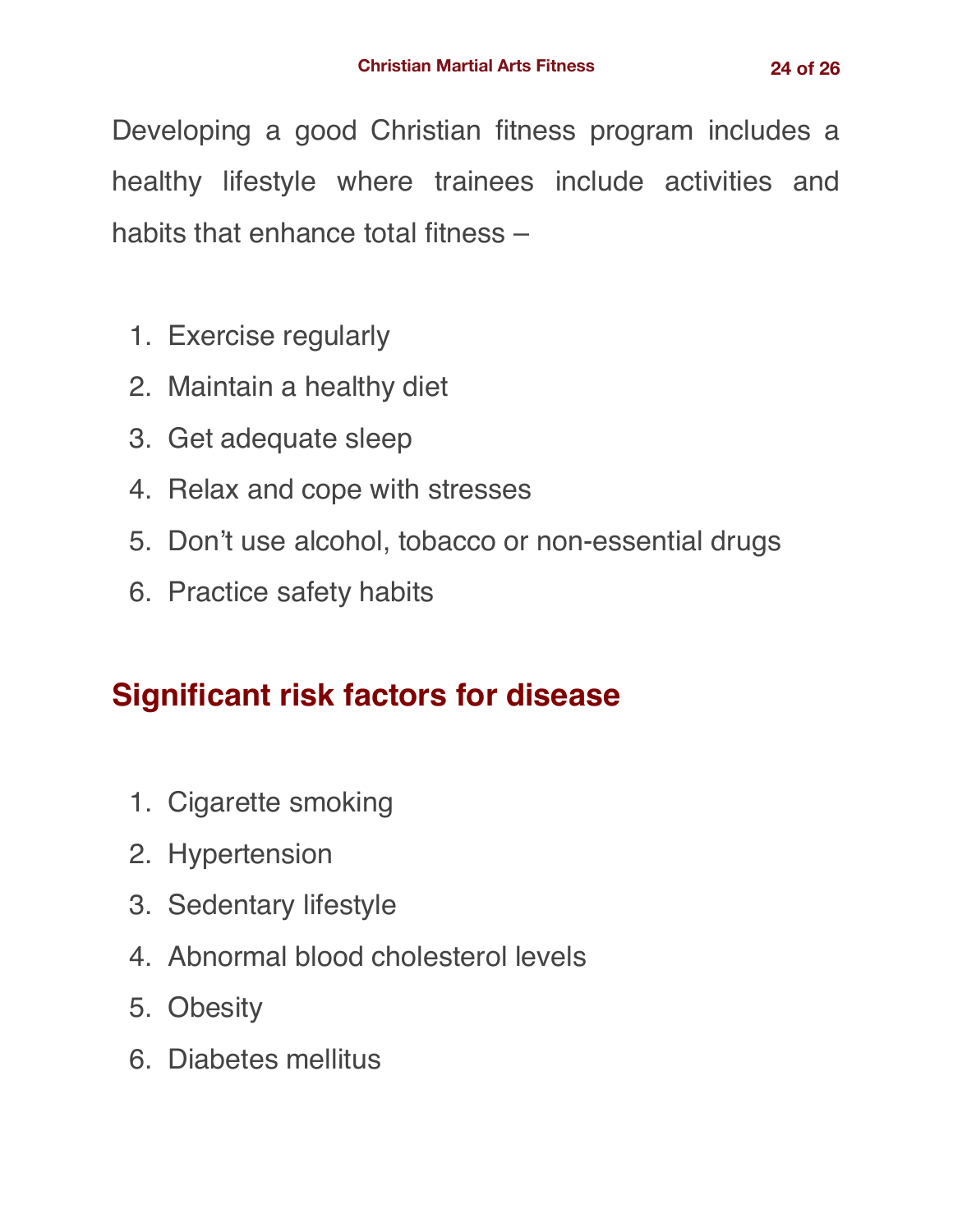Developing a good Christian fitness program includes a healthy lifestyle where trainees include activities and habits that enhance total fitness –

- 1. Exercise regularly
- 2. Maintain a healthy diet
- 3. Get adequate sleep
- 4. Relax and cope with stresses
- 5. Don't use alcohol, tobacco or non-essential drugs
- 6. Practice safety habits

## **Significant risk factors for disease**

- 1. Cigarette smoking
- 2. Hypertension
- 3. Sedentary lifestyle
- 4. Abnormal blood cholesterol levels
- 5. Obesity
- 6. Diabetes mellitus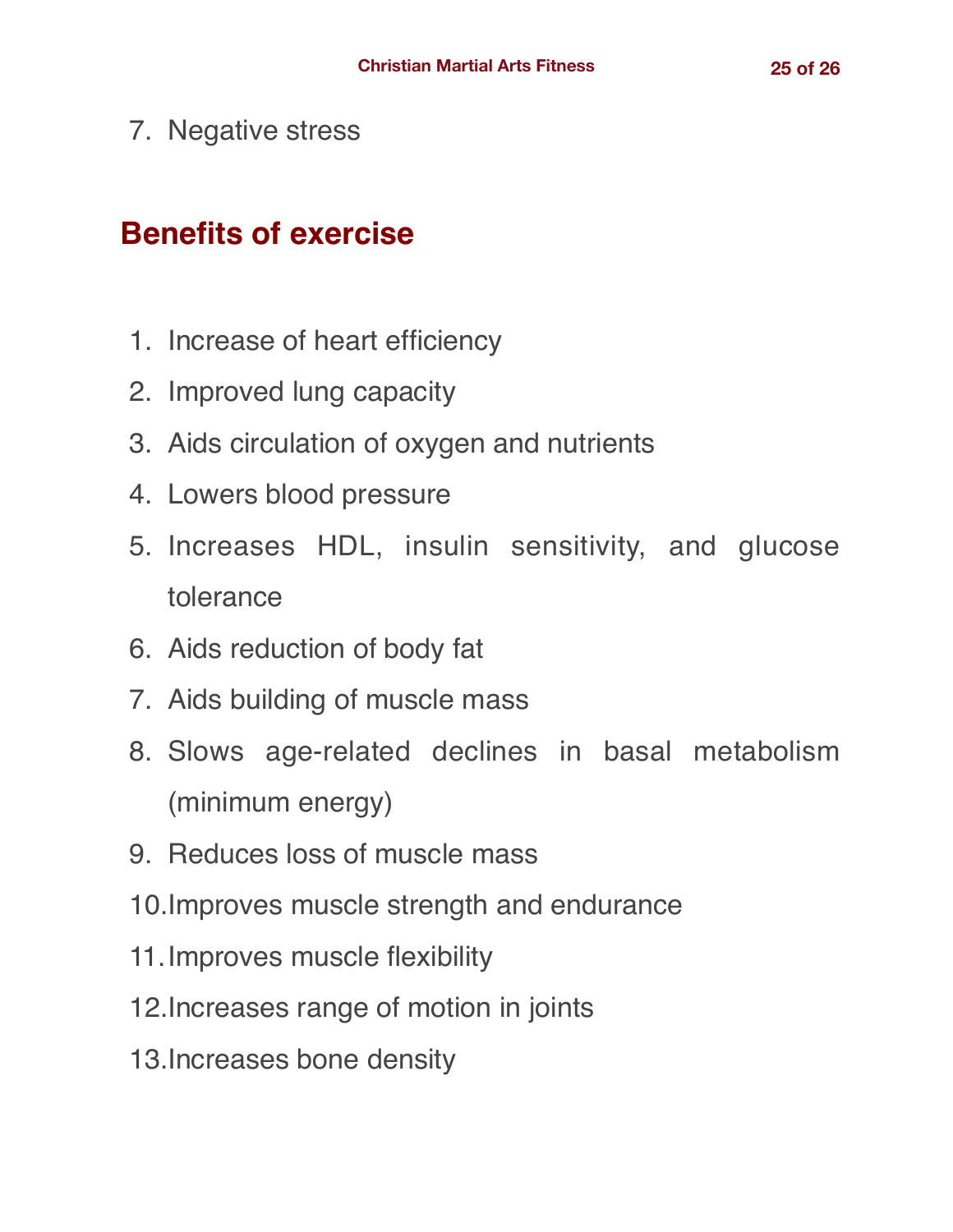7. Negative stress

#### **Benefits of exercise**

- 1. Increase of heart efficiency
- 2. Improved lung capacity
- 3. Aids circulation of oxygen and nutrients
- 4. Lowers blood pressure
- 5. Increases HDL, insulin sensitivity, and glucose tolerance
- 6. Aids reduction of body fat
- 7. Aids building of muscle mass
- 8. Slows age-related declines in basal metabolism (minimum energy)
- 9. Reduces loss of muscle mass
- 10.Improves muscle strength and endurance
- 11.Improves muscle flexibility
- 12.Increases range of motion in joints
- 13.Increases bone density